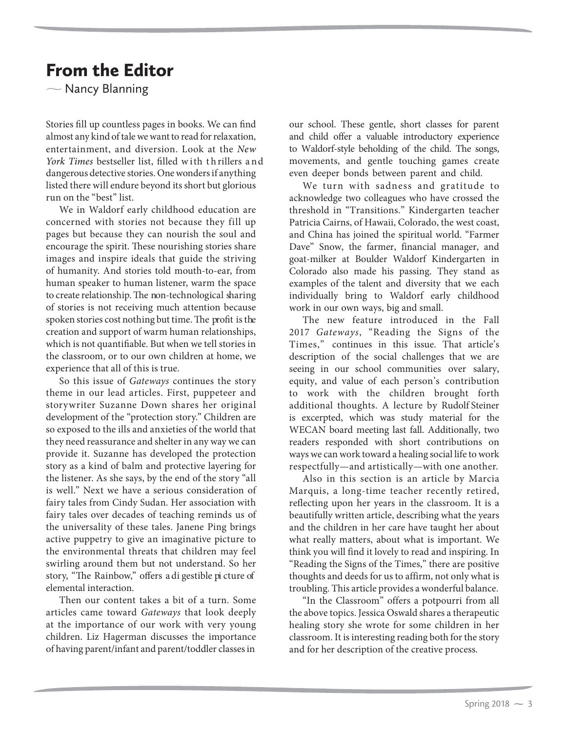## From the Editor

 $\overline{\phantom{0}}$ Nancy Blanning

Stories fill up countless pages in books. We can find almost any kind of tale we want to read for relaxation, entertainment, and diversion. Look at the New York Times bestseller list, filled with thrillers and dangerous detective stories. One wonders if anything listed there will endure beyond its short but glorious run on the "best" list.

We in Waldorf early childhood education are concerned with stories not because they fill up pages but because they can nourish the soul and encourage the spirit. These nourishing stories share images and inspire ideals that guide the striving of humanity. And stories told mouth-to-ear, from human speaker to human listener, warm the space to create relationship. The non-technological sharing of stories is not receiving much attention because spoken stories cost nothing but time. The profit is the creation and support of warm human relationships, which is not quantifiable. But when we tell stories in the classroom, or to our own children at home, we experience that all of this is true.

So this issue of Gateways continues the story theme in our lead articles. First, puppeteer and storywriter Suzanne Down shares her original development of the "protection story." Children are so exposed to the ills and anxieties of the world that they need reassurance and shelter in any way we can provide it. Suzanne has developed the protection story as a kind of balm and protective layering for the listener. As she says, by the end of the story "all is well." Next we have a serious consideration of fairy tales from Cindy Sudan. Her association with fairy tales over decades of teaching reminds us of the universality of these tales. Janene Ping brings active puppetry to give an imaginative picture to the environmental threats that children may feel swirling around them but not understand. So her story, "The Rainbow," offers a di gestible pi cture of elemental interaction.

Then our content takes a bit of a turn. Some articles came toward Gateways that look deeply at the importance of our work with very young children. Liz Hagerman discusses the importance of having parent/infant and parent/toddler classes in

our school. These gentle, short classes for parent and child offer a valuable introductory experience to Waldorf-style beholding of the child. The songs, movements, and gentle touching games create even deeper bonds between parent and child.

We turn with sadness and gratitude to acknowledge two colleagues who have crossed the threshold in "Transitions." Kindergarten teacher Patricia Cairns, of Hawaii, Colorado, the west coast, and China has joined the spiritual world. "Farmer Dave" Snow, the farmer, financial manager, and goat-milker at Boulder Waldorf Kindergarten in Colorado also made his passing. They stand as examples of the talent and diversity that we each individually bring to Waldorf early childhood work in our own ways, big and small.

The new feature introduced in the Fall 2017 Gateways, "Reading the Signs of the Times," continues in this issue. That article's description of the social challenges that we are seeing in our school communities over salary, equity, and value of each person's contribution to work with the children brought forth additional thoughts. A lecture by Rudolf Steiner is excerpted, which was study material for the WECAN board meeting last fall. Additionally, two readers responded with short contributions on ways we can work toward a healing social life to work respectfully—and artistically—with one another.

Also in this section is an article by Marcia Marquis, a long-time teacher recently retired, reflecting upon her years in the classroom. It is a beautifully written article, describing what the years and the children in her care have taught her about what really matters, about what is important. We think you will find it lovely to read and inspiring. In "Reading the Signs of the Times," there are positive thoughts and deeds for us to affirm, not only what is troubling. This article provides a wonderful balance.

"In the Classroom" offers a potpourri from all the above topics. Jessica Oswald shares a therapeutic healing story she wrote for some children in her classroom. It is interesting reading both for the story and for her description of the creative process.